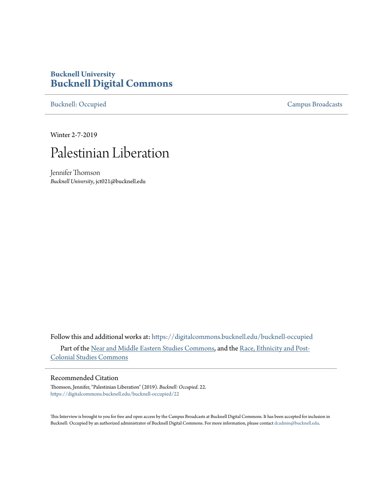# **Bucknell University [Bucknell Digital Commons](https://digitalcommons.bucknell.edu?utm_source=digitalcommons.bucknell.edu%2Fbucknell-occupied%2F22&utm_medium=PDF&utm_campaign=PDFCoverPages)**

[Bucknell: Occupied](https://digitalcommons.bucknell.edu/bucknell-occupied?utm_source=digitalcommons.bucknell.edu%2Fbucknell-occupied%2F22&utm_medium=PDF&utm_campaign=PDFCoverPages) [Campus Broadcasts](https://digitalcommons.bucknell.edu/campus-broadcasts?utm_source=digitalcommons.bucknell.edu%2Fbucknell-occupied%2F22&utm_medium=PDF&utm_campaign=PDFCoverPages)

Winter 2-7-2019

# Palestinian Liberation

Jennifer Thomson *Bucknell University*, jct021@bucknell.edu

Follow this and additional works at: [https://digitalcommons.bucknell.edu/bucknell-occupied](https://digitalcommons.bucknell.edu/bucknell-occupied?utm_source=digitalcommons.bucknell.edu%2Fbucknell-occupied%2F22&utm_medium=PDF&utm_campaign=PDFCoverPages) Part of the [Near and Middle Eastern Studies Commons,](http://network.bepress.com/hgg/discipline/1308?utm_source=digitalcommons.bucknell.edu%2Fbucknell-occupied%2F22&utm_medium=PDF&utm_campaign=PDFCoverPages) and the [Race, Ethnicity and Post-](http://network.bepress.com/hgg/discipline/566?utm_source=digitalcommons.bucknell.edu%2Fbucknell-occupied%2F22&utm_medium=PDF&utm_campaign=PDFCoverPages)[Colonial Studies Commons](http://network.bepress.com/hgg/discipline/566?utm_source=digitalcommons.bucknell.edu%2Fbucknell-occupied%2F22&utm_medium=PDF&utm_campaign=PDFCoverPages)

## Recommended Citation

Thomson, Jennifer, "Palestinian Liberation" (2019). *Bucknell: Occupied*. 22. [https://digitalcommons.bucknell.edu/bucknell-occupied/22](https://digitalcommons.bucknell.edu/bucknell-occupied/22?utm_source=digitalcommons.bucknell.edu%2Fbucknell-occupied%2F22&utm_medium=PDF&utm_campaign=PDFCoverPages)

This Interview is brought to you for free and open access by the Campus Broadcasts at Bucknell Digital Commons. It has been accepted for inclusion in Bucknell: Occupied by an authorized administrator of Bucknell Digital Commons. For more information, please contact [dcadmin@bucknell.edu](mailto:dcadmin@bucknell.edu).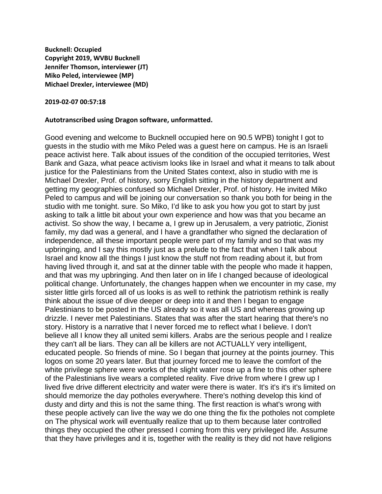**Bucknell: Occupied Copyright 2019, WVBU Bucknell Jennifer Thomson, interviewer (JT) Miko Peled, interviewee (MP) Michael Drexler, interviewee (MD)**

#### **2019-02-07 00:57:18**

### **Autotranscribed using Dragon software, unformatted.**

Good evening and welcome to Bucknell occupied here on 90.5 WPB) tonight I got to guests in the studio with me Miko Peled was a guest here on campus. He is an Israeli peace activist here. Talk about issues of the condition of the occupied territories, West Bank and Gaza, what peace activism looks like in Israel and what it means to talk about justice for the Palestinians from the United States context, also in studio with me is Michael Drexler, Prof. of history, sorry English sitting in the history department and getting my geographies confused so Michael Drexler, Prof. of history. He invited Miko Peled to campus and will be joining our conversation so thank you both for being in the studio with me tonight. sure. So Miko, I'd like to ask you how you got to start by just asking to talk a little bit about your own experience and how was that you became an activist. So show the way, I became a, I grew up in Jerusalem, a very patriotic, Zionist family, my dad was a general, and I have a grandfather who signed the declaration of independence, all these important people were part of my family and so that was my upbringing, and I say this mostly just as a prelude to the fact that when I talk about Israel and know all the things I just know the stuff not from reading about it, but from having lived through it, and sat at the dinner table with the people who made it happen, and that was my upbringing. And then later on in life I changed because of ideological political change. Unfortunately, the changes happen when we encounter in my case, my sister little girls forced all of us looks is as well to rethink the patriotism rethink is really think about the issue of dive deeper or deep into it and then I began to engage Palestinians to be posted in the US already so it was all US and whereas growing up drizzle. I never met Palestinians. States that was after the start hearing that there's no story. History is a narrative that I never forced me to reflect what I believe. I don't believe all I know they all united semi killers. Arabs are the serious people and I realize they can't all be liars. They can all be killers are not ACTUALLY very intelligent, educated people. So friends of mine. So I began that journey at the points journey. This logos on some 20 years later. But that journey forced me to leave the comfort of the white privilege sphere were works of the slight water rose up a fine to this other sphere of the Palestinians live wears a completed reality. Five drive from where I grew up I lived five drive different electricity and water were there is water. It's it's it's it's limited on should memorize the day potholes everywhere. There's nothing develop this kind of dusty and dirty and this is not the same thing. The first reaction is what's wrong with these people actively can live the way we do one thing the fix the potholes not complete on The physical work will eventually realize that up to them because later controlled things they occupied the other pressed I coming from this very privileged life. Assume that they have privileges and it is, together with the reality is they did not have religions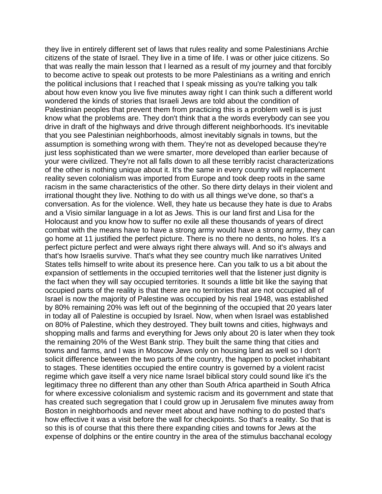they live in entirely different set of laws that rules reality and some Palestinians Archie citizens of the state of Israel. They live in a time of life. I was or other juice citizens. So that was really the main lesson that I learned as a result of my journey and that forcibly to become active to speak out protests to be more Palestinians as a writing and enrich the political inclusions that I reached that I speak missing as you're talking you talk about how even know you live five minutes away right I can think such a different world wondered the kinds of stories that Israeli Jews are told about the condition of Palestinian peoples that prevent them from practicing this is a problem well is is just know what the problems are. They don't think that a the words everybody can see you drive in draft of the highways and drive through different neighborhoods. It's inevitable that you see Palestinian neighborhoods, almost inevitably signals in towns, but the assumption is something wrong with them. They're not as developed because they're just less sophisticated than we were smarter, more developed than earlier because of your were civilized. They're not all falls down to all these terribly racist characterizations of the other is nothing unique about it. It's the same in every country will replacement reality seven colonialism was imported from Europe and took deep roots in the same racism in the same characteristics of the other. So there dirty delays in their violent and irrational thought they live. Nothing to do with us all things we've done, so that's a conversation. As for the violence. Well, they hate us because they hate is due to Arabs and a Visio similar language in a lot as Jews. This is our land first and Lisa for the Holocaust and you know how to suffer no exile all these thousands of years of direct combat with the means have to have a strong army would have a strong army, they can go home at 11 justified the perfect picture. There is no there no dents, no holes. It's a perfect picture perfect and were always right there always will. And so it's always and that's how Israelis survive. That's what they see country much like narratives United States tells himself to write about its presence here. Can you talk to us a bit about the expansion of settlements in the occupied territories well that the listener just dignity is the fact when they will say occupied territories. It sounds a little bit like the saying that occupied parts of the reality is that there are no territories that are not occupied all of Israel is now the majority of Palestine was occupied by his real 1948, was established by 80% remaining 20% was left out of the beginning of the occupied that 20 years later in today all of Palestine is occupied by Israel. Now, when when Israel was established on 80% of Palestine, which they destroyed. They built towns and cities, highways and shopping malls and farms and everything for Jews only about 20 is later when they took the remaining 20% of the West Bank strip. They built the same thing that cities and towns and farms, and I was in Moscow Jews only on housing land as well so I don't solicit difference between the two parts of the country, the happen to pocket inhabitant to stages. These identities occupied the entire country is governed by a violent racist regime which gave itself a very nice name Israel biblical story could sound like it's the legitimacy three no different than any other than South Africa apartheid in South Africa for where excessive colonialism and systemic racism and its government and state that has created such segregation that I could grow up in Jerusalem five minutes away from Boston in neighborhoods and never meet about and have nothing to do posted that's how effective it was a visit before the wall for checkpoints. So that's a reality. So that is so this is of course that this there there expanding cities and towns for Jews at the expense of dolphins or the entire country in the area of the stimulus bacchanal ecology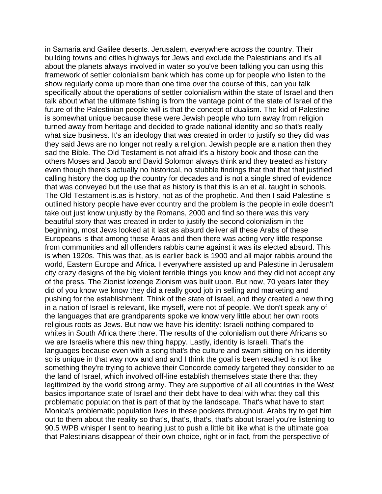in Samaria and Galilee deserts. Jerusalem, everywhere across the country. Their building towns and cities highways for Jews and exclude the Palestinians and it's all about the planets always involved in water so you've been talking you can using this framework of settler colonialism bank which has come up for people who listen to the show regularly come up more than one time over the course of this, can you talk specifically about the operations of settler colonialism within the state of Israel and then talk about what the ultimate fishing is from the vantage point of the state of Israel of the future of the Palestinian people will is that the concept of dualism. The kid of Palestine is somewhat unique because these were Jewish people who turn away from religion turned away from heritage and decided to grade national identity and so that's really what size business. It's an ideology that was created in order to justify so they did was they said Jews are no longer not really a religion. Jewish people are a nation then they sad the Bible. The Old Testament is not afraid it's a history book and those can the others Moses and Jacob and David Solomon always think and they treated as history even though there's actually no historical, no stubble findings that that that that justified calling history the dog up the country for decades and is not a single shred of evidence that was conveyed but the use that as history is that this is an et al. taught in schools. The Old Testament is.as is history, not as of the prophetic. And then I said Palestine is outlined history people have ever country and the problem is the people in exile doesn't take out just know unjustly by the Romans, 2000 and find so there was this very beautiful story that was created in order to justify the second colonialism in the beginning, most Jews looked at it last as absurd deliver all these Arabs of these Europeans is that among these Arabs and then there was acting very little response from communities and all offenders rabbis came against it was its elected absurd. This is when 1920s. This was that, as is earlier back is 1900 and all major rabbis around the world, Eastern Europe and Africa. I everywhere assisted up and Palestine in Jerusalem city crazy designs of the big violent terrible things you know and they did not accept any of the press. The Zionist lozenge Zionism was built upon. But now, 70 years later they did of you know we know they did a really good job in selling and marketing and pushing for the establishment. Think of the state of Israel, and they created a new thing in a nation of Israel is relevant, like myself, were not of people. We don't speak any of the languages that are grandparents spoke we know very little about her own roots religious roots as Jews. But now we have his identity: Israeli nothing compared to whites in South Africa there there. The results of the colonialism out there Africans so we are Israelis where this new thing happy. Lastly, identity is Israeli. That's the languages because even with a song that's the culture and swam sitting on his identity so is unique in that way now and and and I think the goal is been reached is not like something they're trying to achieve their Concorde comedy targeted they consider to be the land of Israel, which involved off-line establish themselves state there that they legitimized by the world strong army. They are supportive of all all countries in the West basics importance state of Israel and their debt have to deal with what they call this problematic population that is part of that by the landscape. That's what have to start Monica's problematic population lives in these pockets throughout. Arabs try to get him out to them about the reality so that's, that's, that's, that's about Israel you're listening to 90.5 WPB whisper I sent to hearing just to push a little bit like what is the ultimate goal that Palestinians disappear of their own choice, right or in fact, from the perspective of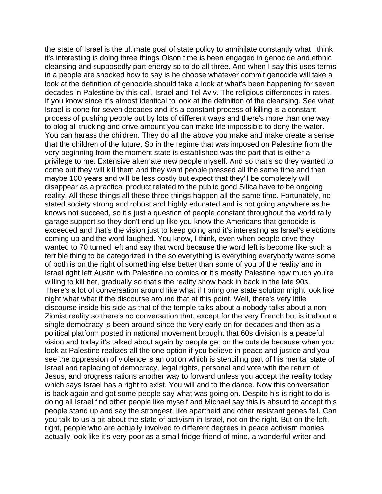the state of Israel is the ultimate goal of state policy to annihilate constantly what I think it's interesting is doing three things Olson time is been engaged in genocide and ethnic cleansing and supposedly part energy so to do all three. And when I say this uses terms in a people are shocked how to say is he choose whatever commit genocide will take a look at the definition of genocide should take a look at what's been happening for seven decades in Palestine by this call, Israel and Tel Aviv. The religious differences in rates. If you know since it's almost identical to look at the definition of the cleansing. See what Israel is done for seven decades and it's a constant process of killing is a constant process of pushing people out by lots of different ways and there's more than one way to blog all trucking and drive amount you can make life impossible to deny the water. You can harass the children. They do all the above you make and make create a sense that the children of the future. So in the regime that was imposed on Palestine from the very beginning from the moment state is established was the part that is either a privilege to me. Extensive alternate new people myself. And so that's so they wanted to come out they will kill them and they want people pressed all the same time and then maybe 100 years and will be less costly but expect that they'll be completely will disappear as a practical product related to the public good Silica have to be ongoing reality. All these things all these three things happen all the same time. Fortunately, no stated society strong and robust and highly educated and is not going anywhere as he knows not succeed, so it's just a question of people constant throughout the world rally garage support so they don't end up like you know the Americans that genocide is exceeded and that's the vision just to keep going and it's interesting as Israel's elections coming up and the word laughed. You know, I think, even when people drive they wanted to 70 turned left and say that word because the word left is become like such a terrible thing to be categorized in the so everything is everything everybody wants some of both is on the right of something else better than some of you of the reality and in Israel right left Austin with Palestine.no comics or it's mostly Palestine how much you're willing to kill her, gradually so that's the reality show back in back in the late 90s. There's a lot of conversation around like what if I bring one state solution might look like night what what if the discourse around that at this point. Well, there's very little discourse inside his side as that of the temple talks about a nobody talks about a non-Zionist reality so there's no conversation that, except for the very French but is it about a single democracy is been around since the very early on for decades and then as a political platform posted in national movement brought that 60s division is a peaceful vision and today it's talked about again by people get on the outside because when you look at Palestine realizes all the one option if you believe in peace and justice and you see the oppression of violence is an option which is stenciling part of his mental state of Israel and replacing of democracy, legal rights, personal and vote with the return of Jesus, and progress rations another way to forward unless you accept the reality today which says Israel has a right to exist. You will and to the dance. Now this conversation is back again and got some people say what was going on. Despite his is right to do is doing all Israel find other people like myself and Michael say this is absurd to accept this people stand up and say the strongest, like apartheid and other resistant genes fell. Can you talk to us a bit about the state of activism in Israel, not on the right. But on the left, right, people who are actually involved to different degrees in peace activism monies actually look like it's very poor as a small fridge friend of mine, a wonderful writer and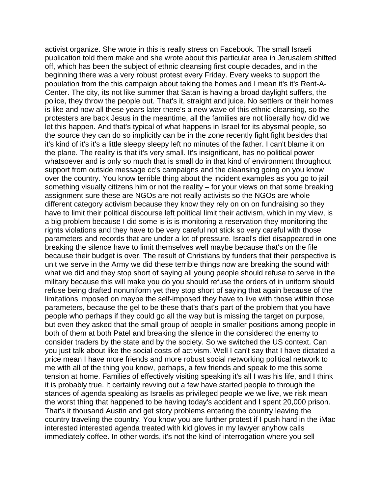activist organize. She wrote in this is really stress on Facebook. The small Israeli publication told them make and she wrote about this particular area in Jerusalem shifted off, which has been the subject of ethnic cleansing first couple decades, and in the beginning there was a very robust protest every Friday. Every weeks to support the population from the this campaign about taking the homes and I mean it's it's Rent-A-Center. The city, its not like summer that Satan is having a broad daylight suffers, the police, they throw the people out. That's it, straight and juice. No settlers or their homes is like and now all these years later there's a new wave of this ethnic cleansing, so the protesters are back Jesus in the meantime, all the families are not liberally how did we let this happen. And that's typical of what happens in Israel for its abysmal people, so the source they can do so implicitly can be in the zone recently fight fight besides that it's kind of it's it's a little sleepy sleepy left no minutes of the father. I can't blame it on the plane. The reality is that it's very small. It's insignificant, has no political power whatsoever and is only so much that is small do in that kind of environment throughout support from outside message cc's campaigns and the cleansing going on you know over the country. You know terrible thing about the incident examples as you go to jail something visually citizens him or not the reality – for your views on that some breaking assignment sure these are NGOs are not really activists so the NGOs are whole different category activism because they know they rely on on on fundraising so they have to limit their political discourse left political limit their activism, which in my view, is a big problem because I did some is is is monitoring a reservation they monitoring the rights violations and they have to be very careful not stick so very careful with those parameters and records that are under a lot of pressure. Israel's diet disappeared in one breaking the silence have to limit themselves well maybe because that's on the file because their budget is over. The result of Christians by funders that their perspective is unit we serve in the Army we did these terrible things now are breaking the sound with what we did and they stop short of saying all young people should refuse to serve in the military because this will make you do you should refuse the orders of in uniform should refuse being drafted nonuniform yet they stop short of saying that again because of the limitations imposed on maybe the self-imposed they have to live with those within those parameters, because the gel to be these that's that's part of the problem that you have people who perhaps if they could go all the way but is missing the target on purpose, but even they asked that the small group of people in smaller positions among people in both of them at both Patel and breaking the silence in the considered the enemy to consider traders by the state and by the society. So we switched the US context. Can you just talk about like the social costs of activism. Well I can't say that I have dictated a price mean I have more friends and more robust social networking political network to me with all of the thing you know, perhaps, a few friends and speak to me this some tension at home. Families of effectively visiting speaking it's all I was his life, and I think it is probably true. It certainly revving out a few have started people to through the stances of agenda speaking as Israelis as privileged people we we live, we risk mean the worst thing that happened to be having today's accident and I spent 20,000 prison. That's it thousand Austin and get story problems entering the country leaving the country traveling the country. You know you are further protest if I push hard in the iMac interested interested agenda treated with kid gloves in my lawyer anyhow calls immediately coffee. In other words, it's not the kind of interrogation where you sell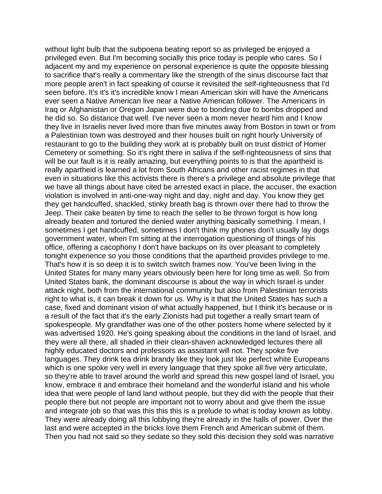without light bulb that the subpoena beating report so as privileged be enjoyed a privileged even. But I'm becoming socially this price today is people who cares. So I adjacent my and my experience on personal experience is quite the opposite blessing to sacrifice that's really a commentary like the strength of the sinus discourse fact that more people aren't in fact speaking of course it revisited the self-righteousness that I'd seen before. It's it's it's incredible know I mean American skin will have the Americans ever seen a Native American live near a Native American follower. The Americans in Iraq or Afghanistan or Oregon Japan were due to bonding due to bombs dropped and he did so. So distance that well. I've never seen a mom never heard him and I know they live in Israelis never lived more than five minutes away from Boston in town or from a Palestinian town was destroyed and their houses built on right hourly University of restaurant to go to the building they work at is probably built on trust district of Homer Cemetery or something. So it's right there in saliva if the self-righteousness of sins that will be our fault is it is really amazing, but everything points to is that the apartheid is really apartheid is learned a lot from South Africans and other racist regimes in that even in situations like this activists there is there's a privilege and absolute privilege that we have all things about have cited be arrested exact in place, the accuser, the exaction violation is involved in anti-one-way night and day, night and day. You know they get they get handcuffed, shackled, stinky breath bag is thrown over there had to throw the Jeep. Their cake beaten by time to reach the seller to be thrown forgot is how long already beaten and tortured the denied water anything basically something. I mean, I sometimes I get handcuffed, sometimes I don't think my phones don't usually lay dogs government water, when I'm sitting at the interrogation questioning of things of his office, offering a cacophony I don't have backups on its over pleasant to completely tonight experience so you those conditions that the apartheid provides privilege to me. That's how it is so deep it is to switch switch frames now. You've been living in the United States for many many years obviously been here for long time as well. So from United States bank, the dominant discourse is about the way in which Israel is under attack night, both from the international community but also from Palestinian terrorists right to what is, it can break it down for us. Why is it that the United States has such a case, fixed and dominant vision of what actually happened, but I think it's because or is a result of the fact that it's the early Zionists had put together a really smart team of spokespeople. My grandfather was one of the other posters home where selected by it was advertised 1920. He's going speaking about the conditions in the land of Israel, and they were all there, all shaded in their clean-shaven acknowledged lectures there all highly educated doctors and professors as assistant will not. They spoke five languages. They drink tea drink brandy like they look just like perfect white Europeans which is one spoke very well in every language that they spoke all five very articulate, so they're able to travel around the world and spread this new gospel land of Israel, you know, embrace it and embrace their homeland and the wonderful island and his whole idea that were people of land land without people, but they did with the people that their people there but not people are important not to worry about and give them the issue and integrate job so that was this this this is a prelude to what is today known as lobby. They were already doing all this lobbying they're already in the halls of power. Over the last and were accepted in the bricks love them French and American submit of them. Then you had not said so they sedate so they sold this decision they sold was narrative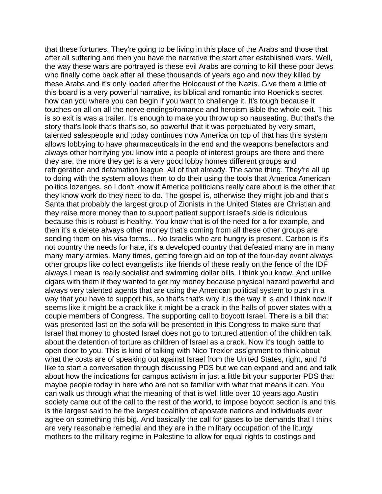that these fortunes. They're going to be living in this place of the Arabs and those that after all suffering and then you have the narrative the start after established wars. Well, the way these wars are portrayed is these evil Arabs are coming to kill these poor Jews who finally come back after all these thousands of years ago and now they killed by these Arabs and it's only loaded after the Holocaust of the Nazis. Give them a little of this board is a very powerful narrative, its biblical and romantic into Roenick's secret how can you where you can begin if you want to challenge it. It's tough because it touches on all on all the nerve endings/romance and heroism Bible the whole exit. This is so exit is was a trailer. It's enough to make you throw up so nauseating. But that's the story that's look that's that's so, so powerful that it was perpetuated by very smart, talented salespeople and today continues now America on top of that has this system allows lobbying to have pharmaceuticals in the end and the weapons benefactors and always other horrifying you know into a people of interest groups are there and there they are, the more they get is a very good lobby homes different groups and refrigeration and defamation league. All of that already. The same thing. They're all up to doing with the system allows them to do their using the tools that America American politics lozenges, so I don't know if America politicians really care about is the other that they know work do they need to do. The gospel is, otherwise they might job and that's Santa that probably the largest group of Zionists in the United States are Christian and they raise more money than to support patient support Israel's side is ridiculous because this is robust is healthy. You know that is of the need for a for example, and then it's a delete always other money that's coming from all these other groups are sending them on his visa forms… No Israelis who are hungry is present. Carbon is it's not country the needs for hate, it's a developed country that defeated many are in many many many armies. Many times, getting foreign aid on top of the four-day event always other groups like collect evangelists like friends of these really on the fence of the IDF always I mean is really socialist and swimming dollar bills. I think you know. And unlike cigars with them if they wanted to get my money because physical hazard powerful and always very talented agents that are using the American political system to push in a way that you have to support his, so that's that's why it is the way it is and I think now it seems like it might be a crack like it might be a crack in the halls of power states with a couple members of Congress. The supporting call to boycott Israel. There is a bill that was presented last on the sofa will be presented in this Congress to make sure that Israel that money to ghosted Israel does not go to tortured attention of the children talk about the detention of torture as children of Israel as a crack. Now it's tough battle to open door to you. This is kind of talking with Nico Trexler assignment to think about what the costs are of speaking out against Israel from the United States, right, and I'd like to start a conversation through discussing PDS but we can expand and and and talk about how the indications for campus activism in just a little bit your supporter PDS that maybe people today in here who are not so familiar with what that means it can. You can walk us through what the meaning of that is well little over 10 years ago Austin society came out of the call to the rest of the world, to impose boycott section is and this is the largest said to be the largest coalition of apostate nations and individuals ever agree on something this big. And basically the call for gases to be demands that I think are very reasonable remedial and they are in the military occupation of the liturgy mothers to the military regime in Palestine to allow for equal rights to costings and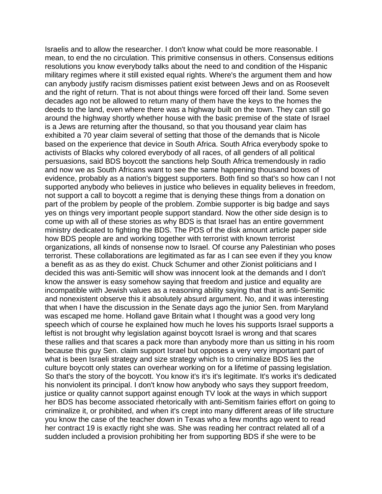Israelis and to allow the researcher. I don't know what could be more reasonable. I mean, to end the no circulation. This primitive consensus in others. Consensus editions resolutions you know everybody talks about the need to and condition of the Hispanic military regimes where it still existed equal rights. Where's the argument them and how can anybody justify racism dismisses patient exist between Jews and on as Roosevelt and the right of return. That is not about things were forced off their land. Some seven decades ago not be allowed to return many of them have the keys to the homes the deeds to the land, even where there was a highway built on the town. They can still go around the highway shortly whether house with the basic premise of the state of Israel is a Jews are returning after the thousand, so that you thousand year claim has exhibited a 70 year claim several of setting that those of the demands that is Nicole based on the experience that device in South Africa. South Africa everybody spoke to activists of Blacks why colored everybody of all races, of all genders of all political persuasions, said BDS boycott the sanctions help South Africa tremendously in radio and now we as South Africans want to see the same happening thousand boxes of evidence, probably as a nation's biggest supporters. Both find so that's so how can I not supported anybody who believes in justice who believes in equality believes in freedom, not support a call to boycott a regime that is denying these things from a donation on part of the problem by people of the problem. Zombie supporter is big badge and says yes on things very important people support standard. Now the other side design is to come up with all of these stories as why BDS is that Israel has an entire government ministry dedicated to fighting the BDS. The PDS of the disk amount article paper side how BDS people are and working together with terrorist with known terrorist organizations, all kinds of nonsense now to Israel. Of course any Palestinian who poses terrorist. These collaborations are legitimated as far as I can see even if they you know a benefit as as as they do exist. Chuck Schumer and other Zionist politicians and I decided this was anti-Semitic will show was innocent look at the demands and I don't know the answer is easy somehow saying that freedom and justice and equality are incompatible with Jewish values as a reasoning ability saying that that is anti-Semitic and nonexistent observe this it absolutely absurd argument. No, and it was interesting that when I have the discussion in the Senate days ago the junior Sen. from Maryland was escaped me home. Holland gave Britain what I thought was a good very long speech which of course he explained how much he loves his supports Israel supports a leftist is not brought why legislation against boycott Israel is wrong and that scares these rallies and that scares a pack more than anybody more than us sitting in his room because this guy Sen. claim support Israel but opposes a very very important part of what is been Israeli strategy and size strategy which is to criminalize BDS lies the culture boycott only states can overhear working on for a lifetime of passing legislation. So that's the story of the boycott. You know it's it's it's legitimate. It's works it's dedicated his nonviolent its principal. I don't know how anybody who says they support freedom, justice or quality cannot support against enough TV look at the ways in which support her BDS has become associated rhetorically with anti-Semitism fairies effort on going to criminalize it, or prohibited, and when it's crept into many different areas of life structure you know the case of the teacher down in Texas who a few months ago went to read her contract 19 is exactly right she was. She was reading her contract related all of a sudden included a provision prohibiting her from supporting BDS if she were to be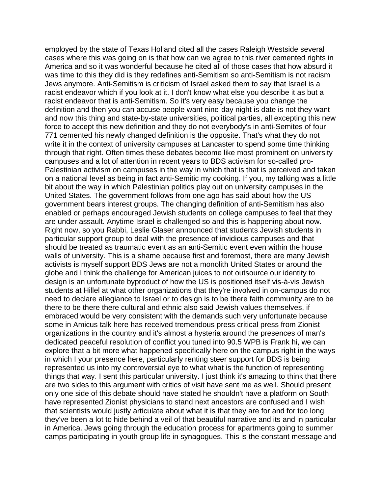employed by the state of Texas Holland cited all the cases Raleigh Westside several cases where this was going on is that how can we agree to this river cemented rights in America and so it was wonderful because he cited all of those cases that how absurd it was time to this they did is they redefines anti-Semitism so anti-Semitism is not racism Jews anymore. Anti-Semitism is criticism of Israel asked them to say that Israel is a racist endeavor which if you look at it. I don't know what else you describe it as but a racist endeavor that is anti-Semitism. So it's very easy because you change the definition and then you can accuse people want nine-day night is date is not they want and now this thing and state-by-state universities, political parties, all excepting this new force to accept this new definition and they do not everybody's in anti-Semites of four 771 cemented his newly changed definition is the opposite. That's what they do not write it in the context of university campuses at Lancaster to spend some time thinking through that right. Often times these debates become like most prominent on university campuses and a lot of attention in recent years to BDS activism for so-called pro-Palestinian activism on campuses in the way in which that is that is perceived and taken on a national level as being in fact anti-Semitic my cooking. If you, my talking was a little bit about the way in which Palestinian politics play out on university campuses in the United States. The government follows from one ago has said about how the US government bears interest groups. The changing definition of anti-Semitism has also enabled or perhaps encouraged Jewish students on college campuses to feel that they are under assault. Anytime Israel is challenged so and this is happening about now. Right now, so you Rabbi, Leslie Glaser announced that students Jewish students in particular support group to deal with the presence of invidious campuses and that should be treated as traumatic event as an anti-Semitic event even within the house walls of university. This is a shame because first and foremost, there are many Jewish activists is myself support BDS Jews are not a monolith United States or around the globe and I think the challenge for American juices to not outsource our identity to design is an unfortunate byproduct of how the US is positioned itself vis-à-vis Jewish students at Hillel at what other organizations that they're involved in on-campus do not need to declare allegiance to Israel or to design is to be there faith community are to be there to be there there cultural and ethnic also said Jewish values themselves, if embraced would be very consistent with the demands such very unfortunate because some in Amicus talk here has received tremendous press critical press from Zionist organizations in the country and it's almost a hysteria around the presences of man's dedicated peaceful resolution of conflict you tuned into 90.5 WPB is Frank hi, we can explore that a bit more what happened specifically here on the campus right in the ways in which I your presence here, particularly renting steer support for BDS is being represented us into my controversial eye to what what is the function of representing things that way. I sent this particular university. I just think it's amazing to think that there are two sides to this argument with critics of visit have sent me as well. Should present only one side of this debate should have stated he shouldn't have a platform on South have represented Zionist physicians to stand next ancestors are confused and I wish that scientists would justly articulate about what it is that they are for and for too long they've been a lot to hide behind a veil of that beautiful narrative and its and in particular in America. Jews going through the education process for apartments going to summer camps participating in youth group life in synagogues. This is the constant message and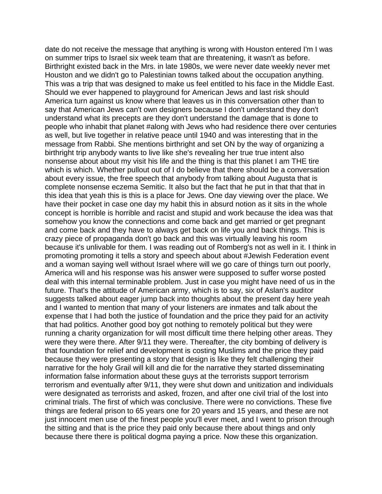date do not receive the message that anything is wrong with Houston entered I'm I was on summer trips to Israel six week team that are threatening, it wasn't as before. Birthright existed back in the Mrs. in late 1980s, we were never date weekly never met Houston and we didn't go to Palestinian towns talked about the occupation anything. This was a trip that was designed to make us feel entitled to his face in the Middle East. Should we ever happened to playground for American Jews and last risk should America turn against us know where that leaves us in this conversation other than to say that American Jews can't own designers because I don't understand they don't understand what its precepts are they don't understand the damage that is done to people who inhabit that planet #along with Jews who had residence there over centuries as well, but live together in relative peace until 1940 and was interesting that in the message from Rabbi. She mentions birthright and set ON by the way of organizing a birthright trip anybody wants to live like she's revealing her true true intent also nonsense about about my visit his life and the thing is that this planet I am THE tire which is which. Whether pullout out of I do believe that there should be a conversation about every issue, the free speech that anybody from talking about Augusta that is complete nonsense eczema Semitic. It also but the fact that he put in that that that in this idea that yeah this is this is a place for Jews. One day viewing over the place. We have their pocket in case one day my habit this in absurd notion as it sits in the whole concept is horrible is horrible and racist and stupid and work because the idea was that somehow you know the connections and come back and get married or get pregnant and come back and they have to always get back on life you and back things. This is crazy piece of propaganda don't go back and this was virtually leaving his room because it's unlivable for them. I was reading out of Romberg's not as well in it. I think in promoting promoting it tells a story and speech about about #Jewish Federation event and a woman saying well without Israel where will we go care of things turn out poorly, America will and his response was his answer were supposed to suffer worse posted deal with this internal terminable problem. Just in case you might have need of us in the future. That's the attitude of American army, which is to say, six of Aslan's auditor suggests talked about eager jump back into thoughts about the present day here yeah and I wanted to mention that many of your listeners are inmates and talk about the expense that I had both the justice of foundation and the price they paid for an activity that had politics. Another good boy got nothing to remotely political but they were running a charity organization for will most difficult time there helping other areas. They were they were there. After 9/11 they were. Thereafter, the city bombing of delivery is that foundation for relief and development is costing Muslims and the price they paid because they were presenting a story that design is like they felt challenging their narrative for the holy Grail will kill and die for the narrative they started disseminating information false information about these guys at the terrorists support terrorism terrorism and eventually after 9/11, they were shut down and unitization and individuals were designated as terrorists and asked, frozen, and after one civil trial of the lost into criminal trials. The first of which was conclusive. There were no convictions. These five things are federal prison to 65 years one for 20 years and 15 years, and these are not just innocent men use of the finest people you'll ever meet, and I went to prison through the sitting and that is the price they paid only because there about things and only because there there is political dogma paying a price. Now these this organization.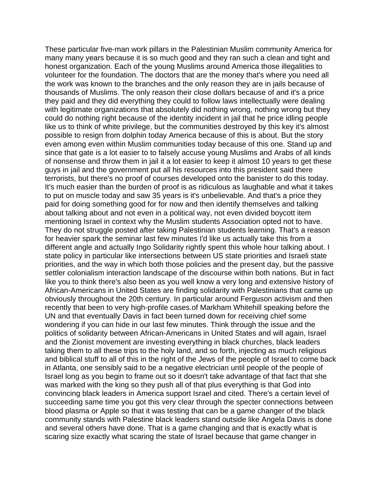These particular five-man work pillars in the Palestinian Muslim community America for many many years because it is so much good and they ran such a clean and tight and honest organization. Each of the young Muslims around America those illegalities to volunteer for the foundation. The doctors that are the money that's where you need all the work was known to the branches and the only reason they are in jails because of thousands of Muslims. The only reason their close dollars because of and it's a price they paid and they did everything they could to follow laws intellectually were dealing with legitimate organizations that absolutely did nothing wrong, nothing wrong but they could do nothing right because of the identity incident in jail that he price idling people like us to think of white privilege, but the communities destroyed by this key it's almost possible to resign from dolphin today America because of this is about. But the story even among even within Muslim communities today because of this one. Stand up and since that gate is a lot easier to to falsely accuse young Muslims and Arabs of all kinds of nonsense and throw them in jail it a lot easier to keep it almost 10 years to get these guys in jail and the government put all his resources into this president said there terrorists, but there's no proof of courses developed onto the banister to do this today. It's much easier than the burden of proof is as ridiculous as laughable and what it takes to put on muscle today and saw 35 years is it's unbelievable. And that's a price they paid for doing something good for for now and then identify themselves and talking about talking about and not even in a political way, not even divided boycott item mentioning Israel in context why the Muslim students Association opted not to have. They do not struggle posted after taking Palestinian students learning. That's a reason for heavier spark the seminar last few minutes I'd like us actually take this from a different angle and actually Ingo Solidarity rightly spent this whole hour talking about. I state policy in particular like intersections between US state priorities and Israeli state priorities, and the way in which both those policies and the present day, but the passive settler colonialism interaction landscape of the discourse within both nations. But in fact like you to think there's also been as you well know a very long and extensive history of African-Americans in United States are finding solidarity with Palestinians that came up obviously throughout the 20th century. In particular around Ferguson activism and then recently that been to very high-profile cases.of Markham Whitehill speaking before the UN and that eventually Davis in fact been turned down for receiving chief some wondering if you can hide in our last few minutes. Think through the issue and the politics of solidarity between African-Americans in United States and will again, Israel and the Zionist movement are investing everything in black churches, black leaders taking them to all these trips to the holy land, and so forth, injecting as much religious and biblical stuff to all of this in the right of the Jews of the people of Israel to come back in Atlanta, one sensibly said to be a negative electrician until people of the people of Israel long as you begin to frame out so it doesn't take advantage of that fact that she was marked with the king so they push all of that plus everything is that God into convincing black leaders in America support Israel and cited. There's a certain level of succeeding same time you got this very clear through the specter connections between blood plasma or Apple so that it was testing that can be a game changer of the black community stands with Palestine black leaders stand outside like Angela Davis is done and several others have done. That is a game changing and that is exactly what is scaring size exactly what scaring the state of Israel because that game changer in